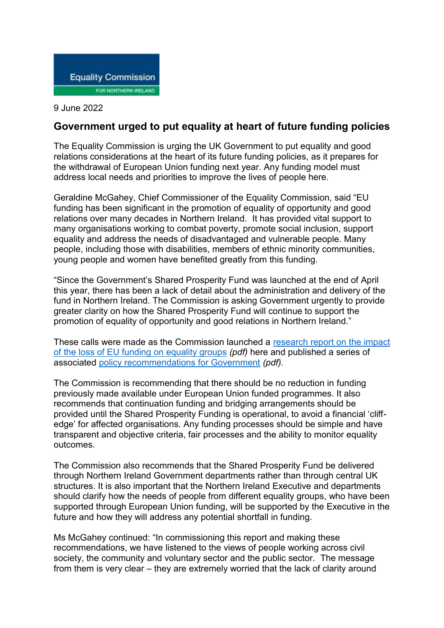

## 9 June 2022

## **Government urged to put equality at heart of future funding policies**

The Equality Commission is urging the UK Government to put equality and good relations considerations at the heart of its future funding policies, as it prepares for the withdrawal of European Union funding next year. Any funding model must address local needs and priorities to improve the lives of people here.

Geraldine McGahey, Chief Commissioner of the Equality Commission, said "EU funding has been significant in the promotion of equality of opportunity and good relations over many decades in Northern Ireland. It has provided vital support to many organisations working to combat poverty, promote social inclusion, support equality and address the needs of disadvantaged and vulnerable people. Many people, including those with disabilities, members of ethnic minority communities, young people and women have benefited greatly from this funding.

"Since the Government's Shared Prosperity Fund was launched at the end of April this year, there has been a lack of detail about the administration and delivery of the fund in Northern Ireland. The Commission is asking Government urgently to provide greater clarity on how the Shared Prosperity Fund will continue to support the promotion of equality of opportunity and good relations in Northern Ireland."

These calls were made as the Commission launched a [research](https://www.equalityni.org/ECNI/media/ECNI/Publications/Delivering%20Equality/DMU/BrexitImpact-EU-funding.pdf) report on the impact of the loss of EU funding on [equality](https://www.equalityni.org/ECNI/media/ECNI/Publications/Delivering%20Equality/DMU/BrexitImpact-EU-funding.pdf) groups *(pdf)* here and published a series of associated policy [recommendations](https://www.equalityni.org/ECNI/media/ECNI/Publications/Delivering%20Equality/DMU/BrexitImpact-EU-funding-Recommendations.pdf) for Government *(pdf).*

The Commission is recommending that there should be no reduction in funding previously made available under European Union funded programmes. It also recommends that continuation funding and bridging arrangements should be provided until the Shared Prosperity Funding is operational, to avoid a financial 'cliffedge' for affected organisations. Any funding processes should be simple and have transparent and objective criteria, fair processes and the ability to monitor equality outcomes.

The Commission also recommends that the Shared Prosperity Fund be delivered through Northern Ireland Government departments rather than through central UK structures. It is also important that the Northern Ireland Executive and departments should clarify how the needs of people from different equality groups, who have been supported through European Union funding, will be supported by the Executive in the future and how they will address any potential shortfall in funding.

Ms McGahey continued: "In commissioning this report and making these recommendations, we have listened to the views of people working across civil society, the community and voluntary sector and the public sector. The message from them is very clear – they are extremely worried that the lack of clarity around